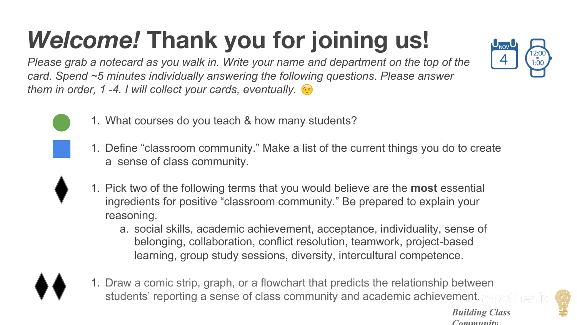## *Welcome!* **Thank you for joining us!**

*Please grab a notecard as you walk in. Write your name and department on the top of the card. Spend ~5 minutes individually answering the following questions. Please answer them in order, 1 -4. I will collect your cards, eventually.*



- 1. What courses do you teach & how many students?
- 1. Define "classroom community." Make a list of the current things you do to create a sense of class community.
- 1. Pick two of the following terms that you would believe are the **most** essential ingredients for positive "classroom community." Be prepared to explain your reasoning.
	- a. social skills, academic achievement, acceptance, individuality, sense of belonging, collaboration, conflict resolution, teamwork, project-based learning, group study sessions, diversity, intercultural competence.
- 1. Draw a comic strip, graph, or a flowchart that predicts the relationship between students' reporting a sense of class community and academic achievement.



*Building Class Community*